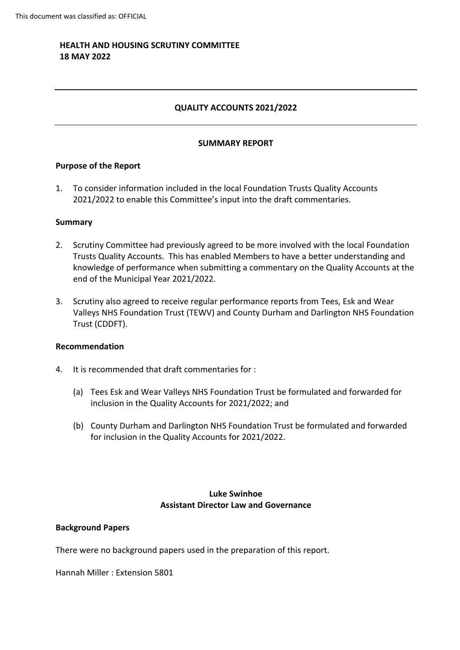# **HEALTH AND HOUSING SCRUTINY COMMITTEE 18 MAY 2022**

## **QUALITY ACCOUNTS 2021/2022**

## **SUMMARY REPORT**

## **Purpose of the Report**

1. To consider information included in the local Foundation Trusts Quality Accounts 2021/2022 to enable this Committee's input into the draft commentaries.

### **Summary**

- 2. Scrutiny Committee had previously agreed to be more involved with the local Foundation Trusts Quality Accounts. This has enabled Members to have a better understanding and knowledge of performance when submitting a commentary on the Quality Accounts at the end of the Municipal Year 2021/2022.
- 3. Scrutiny also agreed to receive regular performance reports from Tees, Esk and Wear Valleys NHS Foundation Trust (TEWV) and County Durham and Darlington NHS Foundation Trust (CDDFT).

#### **Recommendation**

- 4. It is recommended that draft commentaries for :
	- (a) Tees Esk and Wear Valleys NHS Foundation Trust be formulated and forwarded for inclusion in the Quality Accounts for 2021/2022; and
	- (b) County Durham and Darlington NHS Foundation Trust be formulated and forwarded for inclusion in the Quality Accounts for 2021/2022.

## **Luke Swinhoe Assistant Director Law and Governance**

#### **Background Papers**

There were no background papers used in the preparation of this report.

Hannah Miller : Extension 5801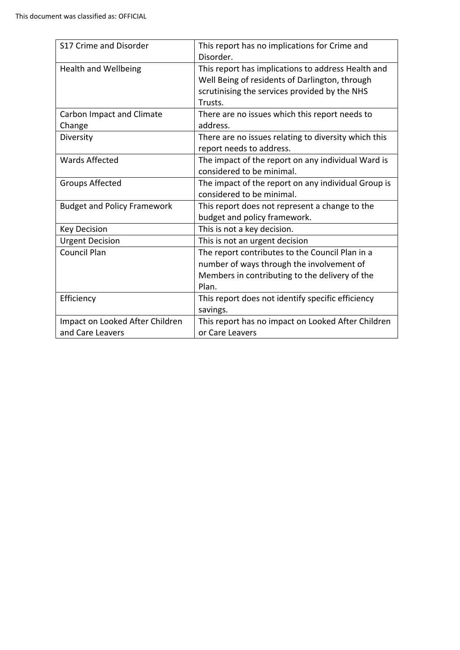| S17 Crime and Disorder                              | This report has no implications for Crime and<br>Disorder.                                                                                                       |
|-----------------------------------------------------|------------------------------------------------------------------------------------------------------------------------------------------------------------------|
| <b>Health and Wellbeing</b>                         | This report has implications to address Health and<br>Well Being of residents of Darlington, through<br>scrutinising the services provided by the NHS<br>Trusts. |
| Carbon Impact and Climate<br>Change                 | There are no issues which this report needs to<br>address.                                                                                                       |
| Diversity                                           | There are no issues relating to diversity which this<br>report needs to address.                                                                                 |
| Wards Affected                                      | The impact of the report on any individual Ward is<br>considered to be minimal.                                                                                  |
| <b>Groups Affected</b>                              | The impact of the report on any individual Group is<br>considered to be minimal.                                                                                 |
| <b>Budget and Policy Framework</b>                  | This report does not represent a change to the<br>budget and policy framework.                                                                                   |
| <b>Key Decision</b>                                 | This is not a key decision.                                                                                                                                      |
| <b>Urgent Decision</b>                              | This is not an urgent decision                                                                                                                                   |
| Council Plan                                        | The report contributes to the Council Plan in a<br>number of ways through the involvement of<br>Members in contributing to the delivery of the<br>Plan.          |
| Efficiency                                          | This report does not identify specific efficiency<br>savings.                                                                                                    |
| Impact on Looked After Children<br>and Care Leavers | This report has no impact on Looked After Children<br>or Care Leavers                                                                                            |